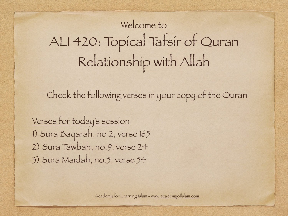# Welcome to ALI 420: Topical Tafsir of Quran Relationship with Allah

Check the following verses in your copy of the Quran

Verses for today's session 1) Sura Baqarah, no.2, verse 165 2) Sura Tawbah, no.9, verse 24 3) Sura Maidah, no.5, verse 54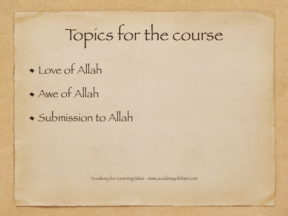# Topics for the course

Love of Allah

Awe of Allah

Submission to Allah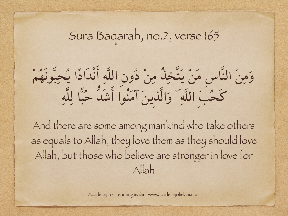### Sura Baqarah, no.2, verse 165

وَمِنَ النَّاسِ مَنْ يَتَّخِذُ مِنْ دُونِ اللَّهِ أنْدَادًا يُحِبُّونَهُمْ كَحُبِّ اللَّهِۖ وَالَّذِينَ آمَنُوا أشَدُّ حُبًا لِلَّهِ

And there are some among mankind who take others as equals to Allah, they love them as they should love Allah, but those who believe are stronger in love for Allah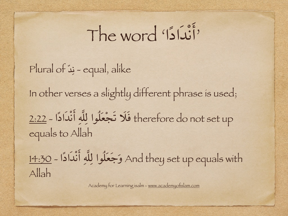# 'أنْدَادًا' word The

Plural of د ن - equal, alike ֺ֚

In other verses a slightly different phrase is used;

therefore do not set up فَلَا تَجْعَلُوا لِلَّهِ أَنْدَادًا - 2:22 equals to Allah

And they set up equals with وَجَعَلُوا لِلَّهِ أَنْدَادًا - 14:30 Allah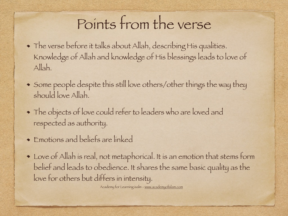# Points from the verse

- The verse before it talks about Allah, describing His qualities. Knowledge of Allah and knowledge of His blessings leads to love of Allah.
- Some people despite this still love others/other things the way they should love Allah.
- The objects of love could refer to leaders who are loved and respected as authority.
- Emotions and beliefs are linked
- Love of Allah is real, not metaphorical. It is an emotion that stems form belief and leads to obedience. It shares the same basic quality as the love for others but differs in intensity.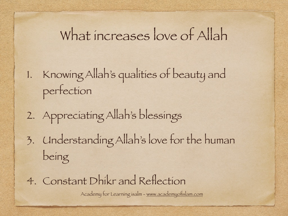## What increases love of Allah

- 1. Knowing Allah's qualities of beauty and perfection
- 2. Appreciating Allah's blessings
- 3. Understanding Allah's love for the human being
- 4. Constant Dhikr and Reflection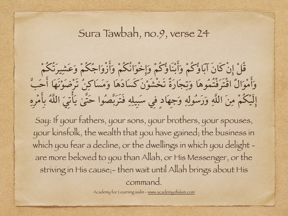#### Sura Tawbah, no.9, verse 24

قُلْ إِنْكَانَ آبَاؤُكُمْ وَأَبْنَاؤُكُمْ وَإِخْوَانُكُمْ وَأَزْوَاجُكُمْ وَعَشِيرَتُكُمْ وَأَمْوَالٌ اقْتَرَفْتُمُوهَا وَتِجَارَةٌ تَخْشَوْنَ كَسَادَهَا وَمَسَاكِنُ تَرْضَوْنَهَا أَحَبَّ إلَيْکُمْ مِنَ اللَّهِ وَرَسُولِهِ وَجِهَادٍ فِي سَبِيلِهِ فَتَرَبَّصُوا حَتَّىٰ يَأتِيَ اللَّهُ بِأمْرِهِ

Say: If your fathers, your sons, your brothers, your spouses, your kinsfolk, the wealth that you have gained; the business in which you fear a decline, or the dwellings in which you delight are more beloved to you than Allah, or His Messenger, or the striving in His cause;- then wait until Allah brings about His command.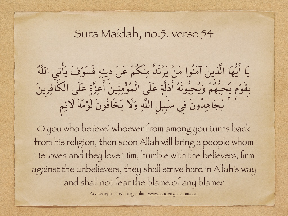#### Sura Maidah, no.5, verse 54

يَا أيُّهَا الَّذِينَ آمَنُوا مَنْ يَرْتَدَّ مِنْكُمْ عَنْ دِينِهِ فَسَوْفَ يَأتِي اللَّهُ بِقَوْمٍ يُحِبُّهُمْ وَيُحِبُّونَهُ أذِلَّةٍ عَلَى الْمُؤمِنِينَ أعِزَّةٍ عَلَى الْکَافِرِينَ ۚ يُجَاهِدُونَ فِي سَبِيلِ اللَّهِ وَلَا يَخَافُونَ لَوْمَةَ لَائِمٍ

O you who believe! whoever from among you turns back from his religion, then soon Allah will bring a people whom He loves and they love Him, humble with the believers, firm against the unbelievers, they shall strive hard in Allah's way and shall not fear the blame of any blamer